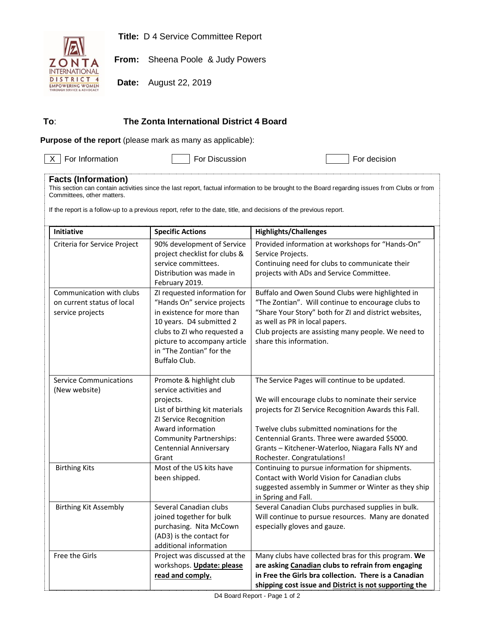**Title:** D 4 Service Committee Report



**From:** Sheena Poole & Judy Powers

**Date:** August 22, 2019

## **To**: **The Zonta International District 4 Board**

**Purpose of the report** (please mark as many as applicable):

 $\boxed{\times}$  For Information  $\boxed{\phantom{0}}$  For Discussion For decision

## **Facts (Information)**

This section can contain activities since the last report, factual information to be brought to the Board regarding issues from Clubs or from Committees, other matters.

If the report is a follow-up to a previous report, refer to the date, title, and decisions of the previous report.

| Initiative                                                                 | <b>Specific Actions</b>                                                                                                                                                                                                           | <b>Highlights/Challenges</b>                                                                                                                                                                                                                                                                                                                    |
|----------------------------------------------------------------------------|-----------------------------------------------------------------------------------------------------------------------------------------------------------------------------------------------------------------------------------|-------------------------------------------------------------------------------------------------------------------------------------------------------------------------------------------------------------------------------------------------------------------------------------------------------------------------------------------------|
| Criteria for Service Project                                               | 90% development of Service<br>project checklist for clubs &<br>service committees.<br>Distribution was made in<br>February 2019.                                                                                                  | Provided information at workshops for "Hands-On"<br>Service Projects.<br>Continuing need for clubs to communicate their<br>projects with ADs and Service Committee.                                                                                                                                                                             |
| Communication with clubs<br>on current status of local<br>service projects | ZI requested information for<br>"Hands On" service projects<br>in existence for more than<br>10 years. D4 submitted 2<br>clubs to ZI who requested a<br>picture to accompany article<br>in "The Zontian" for the<br>Buffalo Club. | Buffalo and Owen Sound Clubs were highlighted in<br>"The Zontian". Will continue to encourage clubs to<br>"Share Your Story" both for ZI and district websites,<br>as well as PR in local papers.<br>Club projects are assisting many people. We need to<br>share this information.                                                             |
| <b>Service Communications</b><br>(New website)                             | Promote & highlight club<br>service activities and<br>projects.<br>List of birthing kit materials<br>ZI Service Recognition<br>Award information<br><b>Community Partnerships:</b><br><b>Centennial Anniversary</b><br>Grant      | The Service Pages will continue to be updated.<br>We will encourage clubs to nominate their service<br>projects for ZI Service Recognition Awards this Fall.<br>Twelve clubs submitted nominations for the<br>Centennial Grants. Three were awarded \$5000.<br>Grants - Kitchener-Waterloo, Niagara Falls NY and<br>Rochester. Congratulations! |
| <b>Birthing Kits</b>                                                       | Most of the US kits have<br>been shipped.                                                                                                                                                                                         | Continuing to pursue information for shipments.<br>Contact with World Vision for Canadian clubs<br>suggested assembly in Summer or Winter as they ship<br>in Spring and Fall.                                                                                                                                                                   |
| <b>Birthing Kit Assembly</b>                                               | Several Canadian clubs<br>joined together for bulk<br>purchasing. Nita McCown<br>(AD3) is the contact for<br>additional information                                                                                               | Several Canadian Clubs purchased supplies in bulk.<br>Will continue to pursue resources. Many are donated<br>especially gloves and gauze.                                                                                                                                                                                                       |
| Free the Girls                                                             | Project was discussed at the<br>workshops. Update: please<br>read and comply.                                                                                                                                                     | Many clubs have collected bras for this program. We<br>are asking Canadian clubs to refrain from engaging<br>in Free the Girls bra collection. There is a Canadian<br>shipping cost issue and District is not supporting the                                                                                                                    |